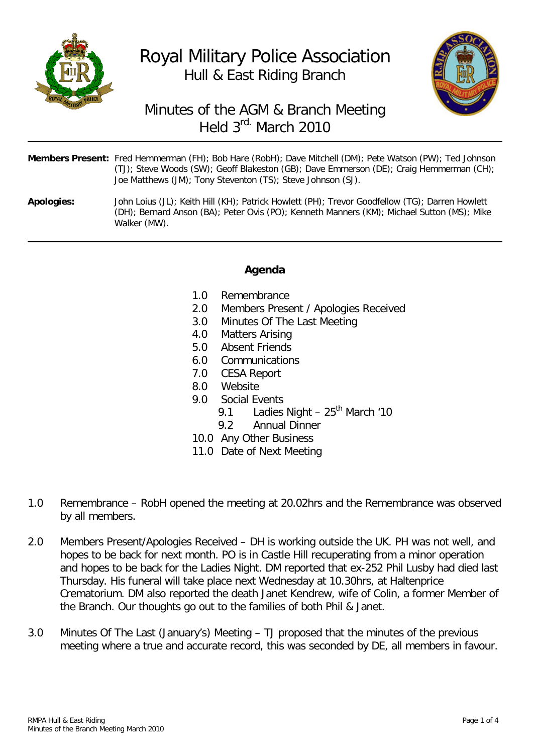

# Royal Military Police Association Hull & East Riding Branch



## Minutes of the AGM & Branch Meeting Held 3rd. March 2010

| Members Present: Fred Hemmerman (FH); Bob Hare (RobH); Dave Mitchell (DM); Pete Watson (PW); Ted Johnson |
|----------------------------------------------------------------------------------------------------------|
| (TJ); Steve Woods (SW); Geoff Blakeston (GB); Dave Emmerson (DE); Craig Hemmerman (CH);                  |
| Joe Matthews (JM); Tony Steventon (TS); Steve Johnson (SJ).                                              |

**Apologies:** John Loius (JL); Keith Hill (KH); Patrick Howlett (PH); Trevor Goodfellow (TG); Darren Howlett (DH); Bernard Anson (BA); Peter Ovis (PO); Kenneth Manners (KM); Michael Sutton (MS); Mike Walker (MW).

#### **Agenda**

- 
- 1.0 Remembrance<br>2.0 Members Prese 2.0 Members Present / Apologies Received<br>3.0 Minutes Of The Last Meeting
- Minutes Of The Last Meeting
- 4.0 Matters Arising<br>5.0 Absent Friends
- Absent Friends
- 6.0 Communications
- 7.0 CESA Report
- 8.0 Website<br>9.0 Social Fy
- Social Events
	- 9.1 Ladies Night  $25<sup>th</sup>$  March '10
	- 9.2 Annual Dinner
- 10.0 Any Other Business
- 11.0 Date of Next Meeting
- 1.0 Remembrance RobH opened the meeting at 20.02hrs and the Remembrance was observed by all members.
- 2.0 Members Present/Apologies Received DH is working outside the UK. PH was not well, and hopes to be back for next month. PO is in Castle Hill recuperating from a minor operation and hopes to be back for the Ladies Night. DM reported that ex-252 Phil Lusby had died last Thursday. His funeral will take place next Wednesday at 10.30hrs, at Haltenprice Crematorium. DM also reported the death Janet Kendrew, wife of Colin, a former Member of the Branch. Our thoughts go out to the families of both Phil & Janet.
- 3.0 Minutes Of The Last (January's) Meeting TJ proposed that the minutes of the previous meeting where a true and accurate record, this was seconded by DE, all members in favour.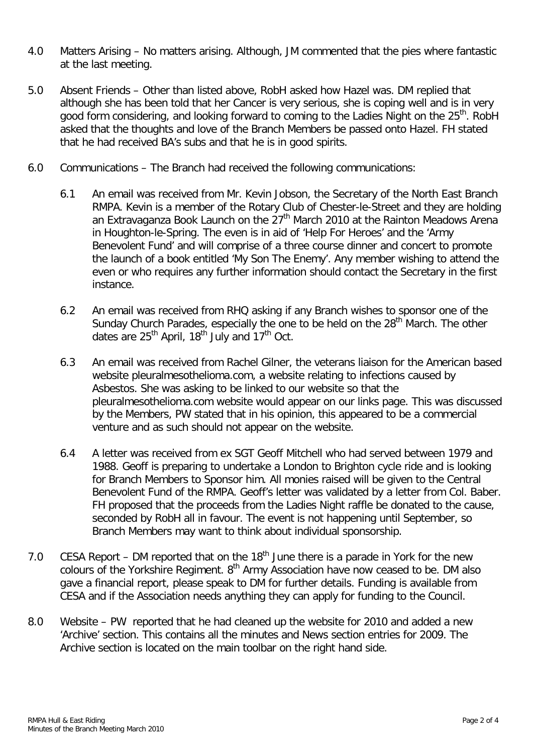- 4.0 Matters Arising No matters arising. Although, JM commented that the pies where fantastic at the last meeting.
- 5.0 Absent Friends Other than listed above, RobH asked how Hazel was. DM replied that although she has been told that her Cancer is very serious, she is coping well and is in very good form considering, and looking forward to coming to the Ladies Night on the 25<sup>th</sup>. RobH asked that the thoughts and love of the Branch Members be passed onto Hazel. FH stated that he had received BA's subs and that he is in good spirits.
- 6.0 Communications The Branch had received the following communications:
	- 6.1 An email was received from Mr. Kevin Jobson, the Secretary of the North East Branch RMPA. Kevin is a member of the Rotary Club of Chester-le-Street and they are holding an Extravaganza Book Launch on the  $27<sup>th</sup>$  March 2010 at the Rainton Meadows Arena in Houghton-le-Spring. The even is in aid of 'Help For Heroes' and the 'Army Benevolent Fund' and will comprise of a three course dinner and concert to promote the launch of a book entitled 'My Son The Enemy'. Any member wishing to attend the even or who requires any further information should contact the Secretary in the first instance.
	- 6.2 An email was received from RHQ asking if any Branch wishes to sponsor one of the Sunday Church Parades, especially the one to be held on the 28<sup>th</sup> March. The other dates are  $25<sup>th</sup>$  April, 18<sup>th</sup> July and 17<sup>th</sup> Oct.
	- 6.3 An email was received from Rachel Gilner, the veterans liaison for the American based website pleuralmesothelioma.com, a website relating to infections caused by Asbestos. She was asking to be linked to our website so that the pleuralmesothelioma.com website would appear on our links page. This was discussed by the Members, PW stated that in his opinion, this appeared to be a commercial venture and as such should not appear on the website.
	- 6.4 A letter was received from ex SGT Geoff Mitchell who had served between 1979 and 1988. Geoff is preparing to undertake a London to Brighton cycle ride and is looking for Branch Members to Sponsor him. All monies raised will be given to the Central Benevolent Fund of the RMPA. Geoff's letter was validated by a letter from Col. Baber. FH proposed that the proceeds from the Ladies Night raffle be donated to the cause, seconded by RobH all in favour. The event is not happening until September, so Branch Members may want to think about individual sponsorship.
- 7.0 CESA Report DM reported that on the  $18<sup>th</sup>$  June there is a parade in York for the new colours of the Yorkshire Regiment. 8<sup>th</sup> Army Association have now ceased to be. DM also gave a financial report, please speak to DM for further details. Funding is available from CESA and if the Association needs anything they can apply for funding to the Council.
- 8.0 Website PW reported that he had cleaned up the website for 2010 and added a new 'Archive' section. This contains all the minutes and News section entries for 2009. The Archive section is located on the main toolbar on the right hand side.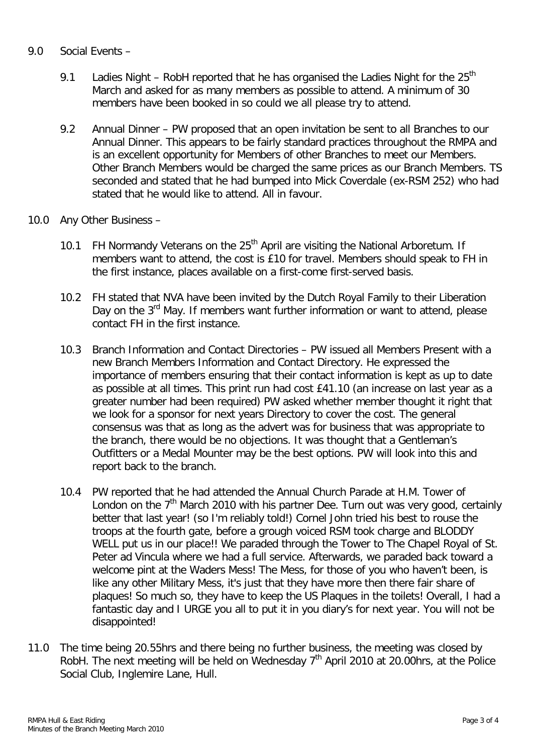#### 9.0 Social Events –

- 9.1 Ladies Night RobH reported that he has organised the Ladies Night for the  $25<sup>th</sup>$ March and asked for as many members as possible to attend. A minimum of 30 members have been booked in so could we all please try to attend.
- 9.2 Annual Dinner PW proposed that an open invitation be sent to all Branches to our Annual Dinner. This appears to be fairly standard practices throughout the RMPA and is an excellent opportunity for Members of other Branches to meet our Members. Other Branch Members would be charged the same prices as our Branch Members. TS seconded and stated that he had bumped into Mick Coverdale (ex-RSM 252) who had stated that he would like to attend. All in favour.
- 10.0 Any Other Business
	- 10.1 FH Normandy Veterans on the  $25<sup>th</sup>$  April are visiting the National Arboretum. If members want to attend, the cost is £10 for travel. Members should speak to FH in the first instance, places available on a first-come first-served basis.
	- 10.2 FH stated that NVA have been invited by the Dutch Royal Family to their Liberation Day on the  $3^{rd}$  May. If members want further information or want to attend, please contact FH in the first instance.
	- 10.3 Branch Information and Contact Directories PW issued all Members Present with a new Branch Members Information and Contact Directory. He expressed the importance of members ensuring that their contact information is kept as up to date as possible at all times. This print run had cost £41.10 (an increase on last year as a greater number had been required) PW asked whether member thought it right that we look for a sponsor for next years Directory to cover the cost. The general consensus was that as long as the advert was for business that was appropriate to the branch, there would be no objections. It was thought that a Gentleman's Outfitters or a Medal Mounter may be the best options. PW will look into this and report back to the branch.
	- 10.4 PW reported that he had attended the Annual Church Parade at H.M. Tower of London on the  $7<sup>th</sup>$  March 2010 with his partner Dee. Turn out was very good, certainly better that last year! (so I'm reliably told!) Cornel John tried his best to rouse the troops at the fourth gate, before a grough voiced RSM took charge and BLODDY WELL put us in our place!! We paraded through the Tower to The Chapel Royal of St. Peter ad Vincula where we had a full service. Afterwards, we paraded back toward a welcome pint at the Waders Mess! The Mess, for those of you who haven't been, is like any other Military Mess, it's just that they have more then there fair share of plaques! So much so, they have to keep the US Plaques in the toilets! Overall, I had a fantastic day and I URGE you all to put it in you diary's for next year. You will not be disappointed!
- 11.0 The time being 20.55hrs and there being no further business, the meeting was closed by RobH. The next meeting will be held on Wednesday  $7<sup>th</sup>$  April 2010 at 20.00 hrs, at the Police Social Club, Inglemire Lane, Hull.